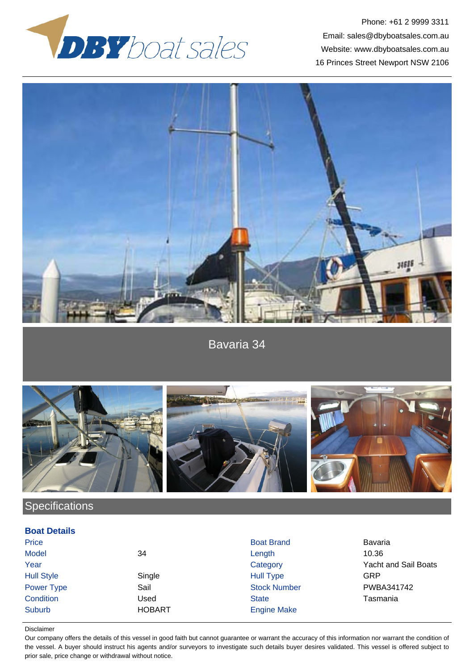

Phone: +61 2 9999 3311 Email: sales@dbyboatsales.com.au Website: www.dbyboatsales.com.au 16 Princes Street Newport NSW 2106



Bavaria 34



## **Specifications**

## **Boat Details**

| Price             |               | <b>Boat Brand</b>   | Bavaria                     |
|-------------------|---------------|---------------------|-----------------------------|
| <b>Model</b>      | 34            | Length              | 10.36                       |
| Year              |               | Category            | <b>Yacht and Sail Boats</b> |
| <b>Hull Style</b> | Single        | <b>Hull Type</b>    | GRP                         |
| <b>Power Type</b> | Sail          | <b>Stock Number</b> | PWBA341742                  |
| Condition         | Jsed          | <b>State</b>        | Tasmania                    |
| Suburb            | <b>HOBART</b> | <b>Engine Make</b>  |                             |

## Disclaimer

Our company offers the details of this vessel in good faith but cannot guarantee or warrant the accuracy of this information nor warrant the condition of the vessel. A buyer should instruct his agents and/or surveyors to investigate such details buyer desires validated. This vessel is offered subject to prior sale, price change or withdrawal without notice.